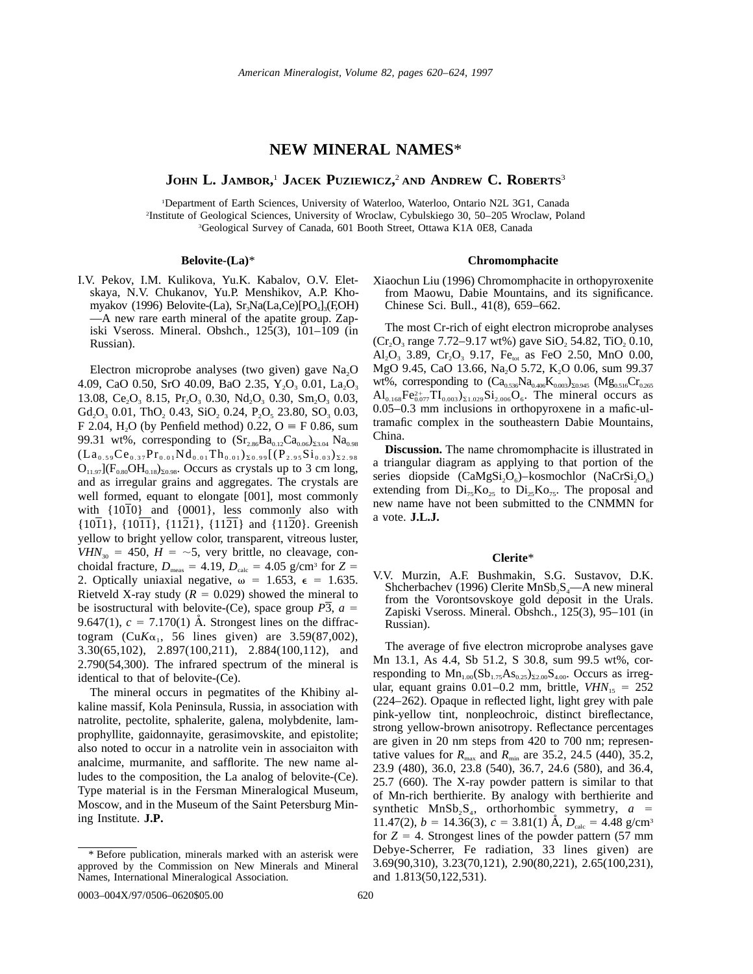## **NEW MINERAL NAMES**\*

**JOHN L. JAMBOR,** <sup>1</sup> **JACEK PUZIEWICZ,** <sup>2</sup> **AND ANDREW C. ROBERTS**<sup>3</sup>

1 Department of Earth Sciences, University of Waterloo, Waterloo, Ontario N2L 3G1, Canada 2 Institute of Geological Sciences, University of Wroclaw, Cybulskiego 30, 50–205 Wroclaw, Poland 3 Geological Survey of Canada, 601 Booth Street, Ottawa K1A 0E8, Canada

#### **Belovite-(La)**\*

I.V. Pekov, I.M. Kulikova, Yu.K. Kabalov, O.V. Eletskaya, N.V. Chukanov, Yu.P. Menshikov, A.P. Khomyakov (1996) Belovite-(La),  $Sr_3Na(La,Ce)/PO_4]_3(F_3OH)$ —A new rare earth mineral of the apatite group. Zapiski Vseross. Mineral. Obshch.,  $12\overline{5}(3)$ ,  $101-\overline{1}09$  (in Russian).

Electron microprobe analyses (two given) gave  $Na<sub>2</sub>O$ 4.09, CaO 0.50, SrO 40.09, BaO 2.35, Y<sub>2</sub>O<sub>3</sub> 0.01, La<sub>2</sub>O<sub>3</sub> 13.08, Ce<sub>2</sub>O<sub>3</sub> 8.15, Pr<sub>2</sub>O<sub>3</sub> 0.30, Nd<sub>2</sub>O<sub>3</sub> 0.30, Sm<sub>2</sub>O<sub>3</sub> 0.03, Gd<sub>2</sub>O<sub>3</sub> 0.01, ThO<sub>2</sub> 0.43, SiO<sub>2</sub> 0.24, P<sub>2</sub>O<sub>5</sub> 23.80, SO<sub>3</sub> 0.03, F 2.04, H<sub>2</sub>O (by Penfield method) 0.22, O  $\equiv$  F 0.86, sum 99.31 wt%, corresponding to  $(Sr_{2.86}Ba_{0.12}Ca_{0.06})_{23.04}Na_{0.98}$  $(La_{0.59}Ce_{0.37}Pr_{0.01}Nd_{0.01}Th_{0.01} )_{\Sigma 0.99}[(P_{2.95}Si_{0.03} )_{\Sigma 2.98}]$  $O_{11.97}$ ]( $F_{0.80}OH_{0.18}$ )<sub>20.98</sub>. Occurs as crystals up to 3 cm long, and as irregular grains and aggregates. The crystals are well formed, equant to elongate [001], most commonly with {1010} and {0001}, less commonly also with  $\{1011\}$ ,  $\{10\overline{11}\}$ ,  $\{11\overline{21}\}$ ,  $\{11\overline{21}\}$  and  $\{11\overline{20}\}$ . Greenish yellow to bright yellow color, transparent, vitreous luster,  $VHN<sub>30</sub> = 450$ ,  $H = -5$ , very brittle, no cleavage, conchoidal fracture,  $D_{\text{meas}} = 4.19$ ,  $D_{\text{calc}} = 4.05$  g/cm<sup>3</sup> for  $Z =$ 2. Optically uniaxial negative,  $\omega = 1.653$ ,  $\epsilon = 1.635$ . Rietveld X-ray study  $(R = 0.029)$  showed the mineral to be isostructural with belovite-(Ce), space group  $\overline{P3}$ ,  $a =$ 9.647(1),  $c = 7.170(1)$  Å. Strongest lines on the diffractogram (Cu $K\alpha_1$ , 56 lines given) are 3.59(87,002), 3.30(65,102), 2.897(100,211), 2.884(100,112), and 2.790(54,300). The infrared spectrum of the mineral is identical to that of belovite-(Ce).

The mineral occurs in pegmatites of the Khibiny alkaline massif, Kola Peninsula, Russia, in association with natrolite, pectolite, sphalerite, galena, molybdenite, lamprophyllite, gaidonnayite, gerasimovskite, and epistolite; also noted to occur in a natrolite vein in associaiton with analcime, murmanite, and safflorite. The new name alludes to the composition, the La analog of belovite-(Ce). Type material is in the Fersman Mineralogical Museum, Moscow, and in the Museum of the Saint Petersburg Mining Institute. **J.P.**

#### **Chromomphacite**

Xiaochun Liu (1996) Chromomphacite in orthopyroxenite from Maowu, Dabie Mountains, and its significance. Chinese Sci. Bull., 41(8), 659–662.

The most Cr-rich of eight electron microprobe analyses  $(Cr_2O_3 \text{ range } 7.72-9.17 \text{ wt\%})$  gave SiO<sub>2</sub> 54.82, TiO<sub>2</sub> 0.10, Al<sub>2</sub>O<sub>3</sub> 3.89, Cr<sub>2</sub>O<sub>3</sub> 9.17, Fe<sub>tot</sub> as FeO 2.50, MnO 0.00, MgO 9.45, CaO 13.66, Na<sub>2</sub>O 5.72, K<sub>2</sub>O 0.06, sum 99.37 wt%, corresponding to  $(Ca_{0.536}Na_{0.406}K_{0.003})_{\Sigma 0.945}$  (Mg<sub>0.516</sub>Cr<sub>0.265</sub>  $Al_{0.168}Fe_{0.077}^{2+}TI_{0.003}^{\text{}}S_{1.029}Si_{2.006}O_6$ . The mineral occurs as 0.05–0.3 mm inclusions in orthopyroxene in a mafic-ultramafic complex in the southeastern Dabie Mountains, China.

**Discussion.** The name chromomphacite is illustrated in a triangular diagram as applying to that portion of the series diopside (CaMgSi<sub>2</sub>O<sub>6</sub>)–kosmochlor (NaCrSi<sub>2</sub>O<sub>6</sub>) extending from  $Di_{75}K_{025}$  to  $Di_{25}K_{025}$ . The proposal and new name have not been submitted to the CNMMN for a vote. **J.L.J.**

## **Clerite**\*

V.V. Murzin, A.F. Bushmakin, S.G. Sustavov, D.K. Shcherbachev (1996) Clerite  $MnSb_2S_4$ —A new mineral from the Vorontsovskoye gold deposit in the Urals. Zapiski Vseross. Mineral. Obshch., 125(3), 95–101 (in Russian).

The average of five electron microprobe analyses gave Mn 13.1, As 4.4, Sb 51.2, S 30.8, sum 99.5 wt%, corresponding to  $Mn_{1.00}(Sb_{1.75}As_{0.25})_{\Sigma_{2.00}}S_{4.00}$ . Occurs as irregular, equant grains  $0.01-0.2$  mm, brittle,  $VHN_{15} = 252$ (224–262). Opaque in reflected light, light grey with pale pink-yellow tint, nonpleochroic, distinct bireflectance, strong yellow-brown anisotropy. Reflectance percentages are given in 20 nm steps from 420 to 700 nm; representative values for  $R_{\text{max}}$  and  $R_{\text{min}}$  are 35.2, 24.5 (440), 35.2, 23.9 (480), 36.0, 23.8 (540), 36.7, 24.6 (580), and 36.4, 25.7 (660). The X-ray powder pattern is similar to that of Mn-rich berthierite. By analogy with berthierite and synthetic  $MnSb_2S_4$ , orthorhombic symmetry,  $a =$ 11.47(2),  $b = 14.36(3)$ ,  $c = 3.81(1)$  Å,  $D_{\text{calc}} = 4.48$  g/cm<sup>3</sup> for  $Z = 4$ . Strongest lines of the powder pattern (57 mm) Debye-Scherrer, Fe radiation, 33 lines given) are 3.69(90,310), 3.23(70,121), 2.90(80,221), 2.65(100,231), and 1.813(50,122,531).

<sup>\*</sup> Before publication, minerals marked with an asterisk were approved by the Commission on New Minerals and Mineral Names, International Mineralogical Association.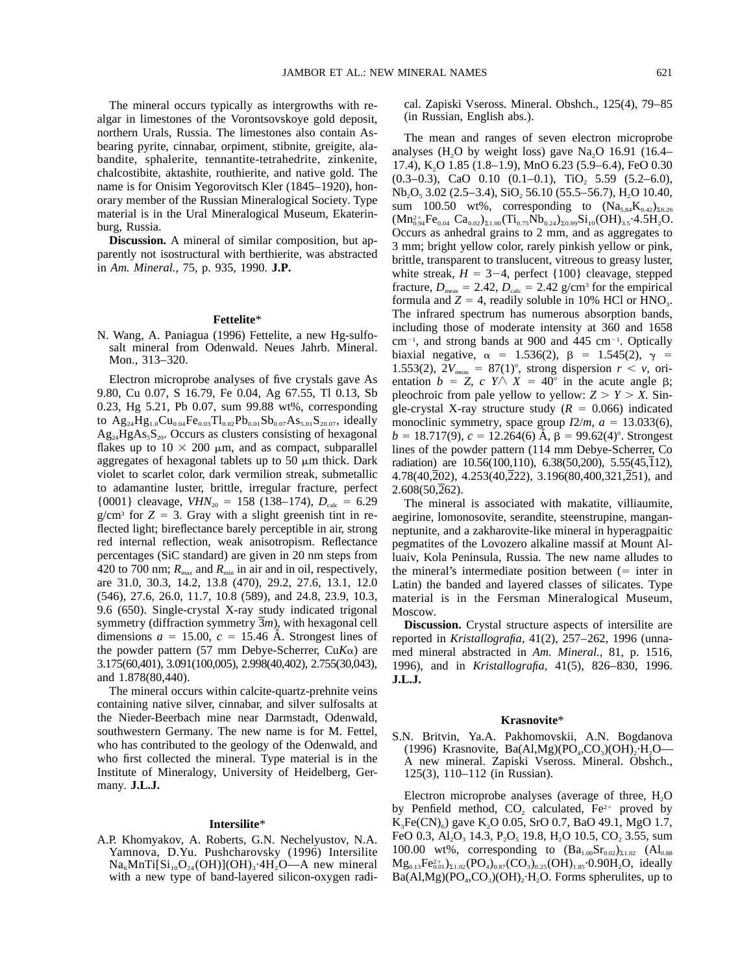The mineral occurs typically as intergrowths with realgar in limestones of the Vorontsovskoye gold deposit, northern Urals, Russia. The limestones also contain Asbearing pyrite, cinnabar, orpiment, stibnite, greigite, alabandite, sphalerite, tennantite-tetrahedrite, zinkenite, chalcostibite, aktashite, routhierite, and native gold. The name is for Onisim Yegorovitsch Kler (1845–1920), honorary member of the Russian Mineralogical Society. Type material is in the Ural Mineralogical Museum, Ekaterinburg, Russia.

**Discussion.** A mineral of similar composition, but apparently not isostructural with berthierite, was abstracted in *Am. Mineral.,* 75, p. 935, 1990. **J.P.**

## **Fettelite**\*

N. Wang, A. Paniagua (1996) Fettelite, a new Hg-sulfosalt mineral from Odenwald. Neues Jahrb. Mineral. Mon., 313–320.

Electron microprobe analyses of five crystals gave As 9.80, Cu 0.07, S 16.79, Fe 0.04, Ag 67.55, Tl 0.13, Sb 0.23, Hg 5.21, Pb 0.07, sum 99.88 wt%, corresponding to  $Ag_{24}Hg_{1.0}Cu_{0.04}Fe_{0.03}Tl_{0.02}Pb_{0.01}Sb_{0.07}As_{5.01}S_{20.07}$ , ideally  $Ag_{24}HgAs_{5}S_{20}$ . Occurs as clusters consisting of hexagonal flakes up to  $10 \times 200$  µm, and as compact, subparallel aggregates of hexagonal tablets up to 50  $\mu$ m thick. Dark violet to scarlet color, dark vermilion streak, submetallic to adamantine luster, brittle, irregular fracture, perfect  $\{0001\}$  cleavage, *VHN*<sub>20</sub> = 158 (138–174),  $D_{\text{calc}}$  = 6.29  $g/cm<sup>3</sup>$  for  $Z = 3$ . Gray with a slight greenish tint in reflected light; bireflectance barely perceptible in air, strong red internal reflection, weak anisotropism. Reflectance percentages (SiC standard) are given in 20 nm steps from 420 to 700 nm;  $R_{\text{max}}$  and  $R_{\text{min}}$  in air and in oil, respectively, are 31.0, 30.3, 14.2, 13.8 (470), 29.2, 27.6, 13.1, 12.0 (546), 27.6, 26.0, 11.7, 10.8 (589), and 24.8, 23.9, 10.3, 9.6 (650). Single-crystal X-ray study indicated trigonal symmetry (diffraction symmetry 3*m*), with hexagonal cell dimensions  $a = 15.00$ ,  $c = 15.46$  Å. Strongest lines of the powder pattern (57 mm Debye-Scherrer, Cu*K*a) are 3.175(60,401), 3.091(100,005), 2.998(40,402), 2.755(30,043), and 1.878(80,440).

The mineral occurs within calcite-quartz-prehnite veins containing native silver, cinnabar, and silver sulfosalts at the Nieder-Beerbach mine near Darmstadt, Odenwald, southwestern Germany. The new name is for M. Fettel, who has contributed to the geology of the Odenwald, and who first collected the mineral. Type material is in the Institute of Mineralogy, University of Heidelberg, Germany. **J.L.J.**

#### **Intersilite**\*

A.P. Khomyakov, A. Roberts, G.N. Nechelyustov, N.A. Yamnova, D.Yu. Pushcharovsky (1996) Intersilite  $Na<sub>6</sub>MnTi[Si<sub>10</sub>O<sub>24</sub>(OH)](OH)<sub>3</sub>·4H<sub>2</sub>O—A new mineral$ with a new type of band-layered silicon-oxygen radical. Zapiski Vseross. Mineral. Obshch., 125(4), 79–85 (in Russian, English abs.).

The mean and ranges of seven electron microprobe analyses (H<sub>2</sub>O by weight loss) gave Na<sub>2</sub>O 16.91 (16.4– 17.4), K2O 1.85 (1.8–1.9), MnO 6.23 (5.9–6.4), FeO 0.30  $(0.3-0.3)$ , CaO 0.10  $(0.1-0.1)$ , TiO<sub>2</sub> 5.59  $(5.2-6.0)$ ,  $Nb<sub>2</sub>O<sub>5</sub>$  3.02 (2.5–3.4),  $SiO<sub>2</sub>$  56.10 (55.5–56.7), H<sub>2</sub>O 10.40, sum 100.50 wt%, corresponding to  $(Na_{5,84}K_{0,42})_{56,26}$  $(Mn_{0.94}^{2+}Fe_{0.04} Ca_{0.02})_{\Sigma1.00} (Ti_{0.75}Nb_{0.24})_{\Sigma0.99}Si_{10}(OH)_{3.5}\cdot4.5H_2O.$ Occurs as anhedral grains to 2 mm, and as aggregates to 3 mm; bright yellow color, rarely pinkish yellow or pink, brittle, transparent to translucent, vitreous to greasy luster, white streak,  $H = 3-4$ , perfect  $\{100\}$  cleavage, stepped fracture,  $D_{\text{meas}} = 2.42$ ,  $D_{\text{calc}} = 2.42$  g/cm<sup>3</sup> for the empirical formula and  $Z = 4$ , readily soluble in 10% HCl or HNO<sub>3</sub>. The infrared spectrum has numerous absorption bands, including those of moderate intensity at 360 and 1658  $cm^{-1}$ , and strong bands at 900 and 445  $cm^{-1}$ . Optically biaxial negative,  $\alpha = 1.536(2)$ ,  $\beta = 1.545(2)$ ,  $\gamma =$ 1.553(2),  $2V_{\text{meas}} = 87(1)^\circ$ , strong dispersion  $r \le v$ , orientation  $b = Z$ , c  $Y \wedge X = 40^{\circ}$  in the acute angle  $\beta$ ; pleochroic from pale yellow to yellow:  $Z > Y > X$ . Single-crystal X-ray structure study  $(R = 0.066)$  indicated monoclinic symmetry, space group  $I2/m$ ,  $a = 13.033(6)$ ,  $b = 18.717(9)$ ,  $c = 12.264(6)$  Å,  $\beta = 99.62(4)$ °. Strongest lines of the powder pattern (114 mm Debye-Scherrer, Co radiation) are 10.56(100,110), 6.38(50,200), 5.55(45,112), 4.78(40,202), 4.253(40,222), 3.196(80,400,321,251), and 2.608(50,262).

The mineral is associated with makatite, villiaumite, aegirine, lomonosovite, serandite, steenstrupine, manganneptunite, and a zakharovite-like mineral in hyperagpaitic pegmatites of the Lovozero alkaline massif at Mount Alluaiv, Kola Peninsula, Russia. The new name alludes to the mineral's intermediate position between  $(=$  inter in Latin) the banded and layered classes of silicates. Type material is in the Fersman Mineralogical Museum, Moscow.

**Discussion.** Crystal structure aspects of intersilite are reported in *Kristallografia,* 41(2), 257–262, 1996 (unnamed mineral abstracted in *Am. Mineral.,* 81, p. 1516, 1996), and in *Kristallografia,* 41(5), 826–830, 1996. **J.L.J.**

#### **Krasnovite**\*

S.N. Britvin, Ya.A. Pakhomovskii, A.N. Bogdanova (1996) Krasnovite,  $Ba(Al, Mg)(PO<sub>4</sub>, CO<sub>3</sub>)(OH), H<sub>2</sub>O-$ A new mineral. Zapiski Vseross. Mineral. Obshch., 125(3), 110–112 (in Russian).

Electron microprobe analyses (average of three, H<sub>2</sub>O by Penfield method,  $CO<sub>2</sub>$  calculated,  $Fe<sup>2+</sup>$  proved by  $K_3Fe(CN)_{6}$ ) gave  $K_2O(0.05, SrO(0.7, BaO(49.1, MgO(1.7,$ FeO 0.3,  $Al_2O_3$  14.3,  $P_2O_5$  19.8,  $H_2O$  10.5,  $CO_2$  3.55, sum 100.00 wt%, corresponding to  $(Ba_{1.00}Sr_{0.02})_{\Sigma1.02}$  (Al<sub>0.88</sub>)  $Mg_{0.13}Fe_{0.01}^{2+}$   $\rangle_{\Sigma1.02}(PO_4)_{0.87}(CO_3)_{0.25}(OH)_{1.85}$  $\cdot 0.90H_2O$ , ideally  $Ba(Al, Mg)(PO<sub>4</sub>, CO<sub>3</sub>)(OH), H<sub>2</sub>O$ . Forms spherulites, up to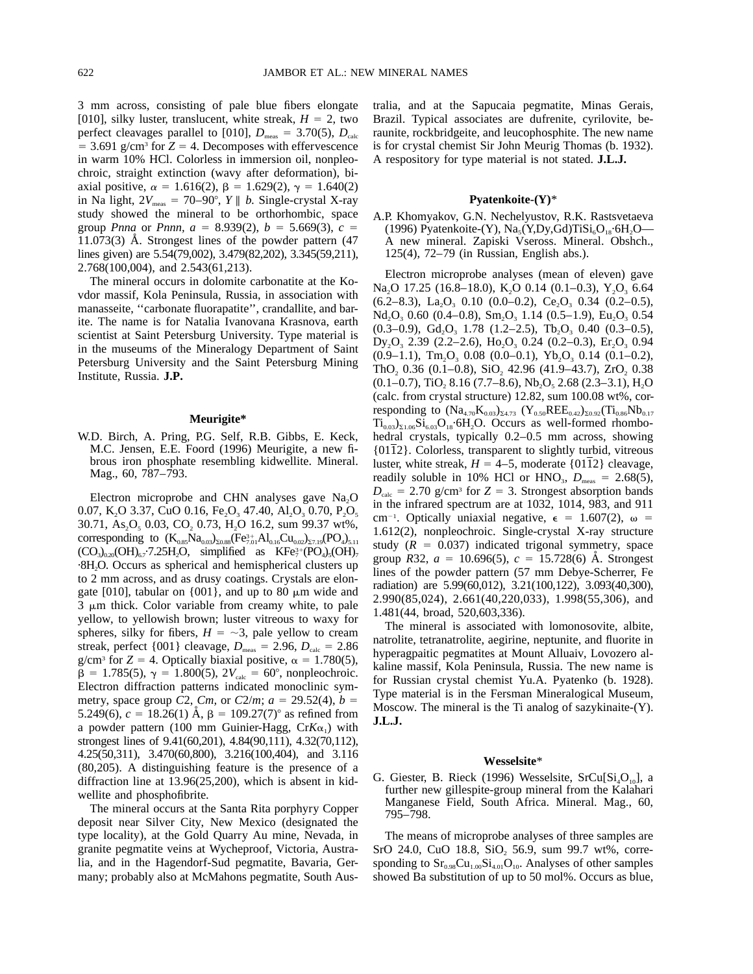3 mm across, consisting of pale blue fibers elongate [010], silky luster, translucent, white streak,  $H = 2$ , two perfect cleavages parallel to [010],  $D_{\text{meas}} = 3.70(5)$ ,  $D_{\text{calc}}$  $=$  3.691 g/cm<sup>3</sup> for  $Z = 4$ . Decomposes with effervescence in warm 10% HCl. Colorless in immersion oil, nonpleochroic, straight extinction (wavy after deformation), biaxial positive,  $\alpha = 1.616(2)$ ,  $\beta = 1.629(2)$ ,  $\gamma = 1.640(2)$ in Na light,  $2V_{\text{meas}} = 70-90^{\circ}$ , *Y* || *b*. Single-crystal X-ray study showed the mineral to be orthorhombic, space group *Pnna* or *Pnnn*,  $a = 8.939(2)$ ,  $b = 5.669(3)$ ,  $c =$  $11.073(3)$  Å. Strongest lines of the powder pattern  $(47)$ lines given) are 5.54(79,002), 3.479(82,202), 3.345(59,211), 2.768(100,004), and 2.543(61,213).

The mineral occurs in dolomite carbonatite at the Kovdor massif, Kola Peninsula, Russia, in association with manasseite, ''carbonate fluorapatite'', crandallite, and barite. The name is for Natalia Ivanovana Krasnova, earth scientist at Saint Petersburg University. Type material is in the museums of the Mineralogy Department of Saint Petersburg University and the Saint Petersburg Mining Institute, Russia. **J.P.**

## **Meurigite\***

W.D. Birch, A. Pring, P.G. Self, R.B. Gibbs, E. Keck, M.C. Jensen, E.E. Foord (1996) Meurigite, a new fibrous iron phosphate resembling kidwellite. Mineral. Mag., 60, 787–793.

Electron microprobe and CHN analyses gave  $Na<sub>2</sub>O$ 0.07, K<sub>2</sub>O 3.37, CuO 0.16, Fe<sub>2</sub>O<sub>3</sub> 47.40, Al<sub>2</sub>O<sub>3</sub> 0.70, P<sub>2</sub>O<sub>5</sub> 30.71, As<sub>2</sub>O<sub>5</sub> 0.03, CO<sub>2</sub> 0.73, H<sub>2</sub>O 16.2, sum 99.37 wt%, corresponding to  $(K_{0.85}Na_{0.03})_{\Sigma 0.88}(Fe_{7.01}^{3+}Al_{0.16}Cu_{0.02})_{\Sigma 7.19}(PO_4)_{5.11}$  $(CO<sub>3</sub>)<sub>0.20</sub>(OH)<sub>6.7</sub>·7.25H<sub>2</sub>O$ , simplified as  $KF<sub>7</sub><sup>3+</sup>(PO<sub>4</sub>)<sub>5</sub>(OH)<sub>7</sub>$ ·8H2O. Occurs as spherical and hemispherical clusters up to 2 mm across, and as drusy coatings. Crystals are elongate [010], tabular on  $\{001\}$ , and up to 80  $\mu$ m wide and  $3 \mu m$  thick. Color variable from creamy white, to pale yellow, to yellowish brown; luster vitreous to waxy for spheres, silky for fibers,  $H = -3$ , pale yellow to cream streak, perfect  $\{001\}$  cleavage,  $D_{\text{meas}} = 2.96, D_{\text{calc}} = 2.86$ g/cm<sup>3</sup> for  $Z = 4$ . Optically biaxial positive,  $\alpha = 1.780(5)$ ,  $\beta = 1.785(5)$ ,  $\gamma = 1.800(5)$ ,  $2V_{\text{calc}} = 60^{\circ}$ , nonpleochroic. Electron diffraction patterns indicated monoclinic symmetry, space group *C*2, *Cm*, or *C*2/*m*;  $a = 29.52(4)$ ,  $b =$ 5.249(6),  $c = 18.26(1)$  Å,  $\beta = 109.27(7)$ ° as refined from a powder pattern (100 mm Guinier-Hagg,  $CrK\alpha_1$ ) with strongest lines of 9.41(60,201), 4.84(90,111), 4.32(70,112), 4.25(50,311), 3.470(60,800), 3.216(100,404), and 3.116 (80,205). A distinguishing feature is the presence of a diffraction line at 13.96(25,200), which is absent in kidwellite and phosphofibrite.

The mineral occurs at the Santa Rita porphyry Copper deposit near Silver City, New Mexico (designated the type locality), at the Gold Quarry Au mine, Nevada, in granite pegmatite veins at Wycheproof, Victoria, Australia, and in the Hagendorf-Sud pegmatite, Bavaria, Germany; probably also at McMahons pegmatite, South Aus-

tralia, and at the Sapucaia pegmatite, Minas Gerais, Brazil. Typical associates are dufrenite, cyrilovite, beraunite, rockbridgeite, and leucophosphite. The new name is for crystal chemist Sir John Meurig Thomas (b. 1932). A respository for type material is not stated. **J.L.J.**

## **Pyatenkoite-(Y)**\*

A.P. Khomyakov, G.N. Nechelyustov, R.K. Rastsvetaeva (1996) Pyatenkoite-(Y),  $\text{Na}_{5}(\text{Y},\text{D}\text{y},\text{Gd})\text{TiSi}_{6}\text{O}_{18}\cdot\text{6H}_{2}\text{O}$ — A new mineral. Zapiski Vseross. Mineral. Obshch., 125(4), 72–79 (in Russian, English abs.).

Electron microprobe analyses (mean of eleven) gave Na<sub>2</sub>O 17.25 (16.8–18.0), K<sub>2</sub>O 0.14 (0.1–0.3), Y<sub>2</sub>O<sub>3</sub> 6.64  $(6.2-8.3)$ , La<sub>2</sub>O<sub>3</sub> 0.10  $(0.0-0.2)$ , Ce<sub>2</sub>O<sub>3</sub> 0.34  $(0.2-0.5)$ , Nd<sub>2</sub>O<sub>3</sub> 0.60 (0.4–0.8), Sm<sub>2</sub>O<sub>3</sub> 1.14 (0.5–1.9), Eu<sub>2</sub>O<sub>3</sub> 0.54  $(0.3-0.9)$ ,  $Gd_2O_3$  1.78  $(1.2-2.5)$ ,  $Tb_2O_3$  0.40  $(0.3-0.5)$ , Dy<sub>2</sub>O<sub>3</sub> 2.39 (2.2–2.6), Ho<sub>2</sub>O<sub>3</sub> 0.24 (0.2–0.3), Er<sub>2</sub>O<sub>3</sub> 0.94  $(0.9-1.1)$ , Tm<sub>2</sub>O<sub>3</sub> 0.08 (0.0-0.1), Yb<sub>2</sub>O<sub>3</sub> 0.14 (0.1-0.2), ThO<sub>2</sub> 0.36 (0.1–0.8), SiO<sub>2</sub> 42.96 (41.9–43.7), ZrO<sub>2</sub> 0.38  $(0.1-0.7)$ , TiO<sub>2</sub> 8.16 (7.7–8.6), Nb<sub>2</sub>O<sub>5</sub> 2.68 (2.3–3.1), H<sub>2</sub>O (calc. from crystal structure) 12.82, sum 100.08 wt%, corresponding to  $(Na_{4.70}K_{0.03})_{24.73}$   $(Y_{0.50}REE_{0.42})_{20.92}$  $(Ti_{0.86}Nb_{0.17})$  $Ti_{0.03}S_{1.06}Si_{6.03}O_{18}\cdot 6H_2O$ . Occurs as well-formed rhombohedral crystals, typically 0.2–0.5 mm across, showing {0112}. Colorless, transparent to slightly turbid, vitreous luster, white streak,  $H = 4-5$ , moderate  $\{0112\}$  cleavage, readily soluble in 10% HCl or HNO<sub>3</sub>,  $D_{\text{meas}} = 2.68(5)$ ,  $D_{\text{calc}}$  = 2.70 g/cm<sup>3</sup> for *Z* = 3. Strongest absorption bands in the infrared spectrum are at 1032, 1014, 983, and 911 cm<sup>-1</sup>. Optically uniaxial negative,  $\epsilon = 1.607(2)$ ,  $\omega =$ 1.612(2), nonpleochroic. Single-crystal X-ray structure study  $(R = 0.037)$  indicated trigonal symmetry, space group *R*32,  $a = 10.696(5)$ ,  $c = 15.728(6)$  Å. Strongest lines of the powder pattern (57 mm Debye-Scherrer, Fe radiation) are 5.99(60,012), 3.21(100,122), 3.093(40,300), 2.990(85,024), 2.661(40,220,033), 1.998(55,306), and 1.481(44, broad, 520,603,336).

The mineral is associated with lomonosovite, albite, natrolite, tetranatrolite, aegirine, neptunite, and fluorite in hyperagpaitic pegmatites at Mount Alluaiv, Lovozero alkaline massif, Kola Peninsula, Russia. The new name is for Russian crystal chemist Yu.A. Pyatenko (b. 1928). Type material is in the Fersman Mineralogical Museum, Moscow. The mineral is the Ti analog of sazykinaite-(Y). **J.L.J.**

#### **Wesselsite**\*

G. Giester, B. Rieck (1996) Wesselsite,  $SrCu[Si<sub>4</sub>O<sub>10</sub>]$ , a further new gillespite-group mineral from the Kalahari Manganese Field, South Africa. Mineral. Mag., 60, 795–798.

The means of microprobe analyses of three samples are SrO 24.0, CuO 18.8, SiO<sub>2</sub> 56.9, sum 99.7 wt%, corresponding to  $Sr_{0.98}Cu_{1.00}Si_{4.01}O_{10}$ . Analyses of other samples showed Ba substitution of up to 50 mol%. Occurs as blue,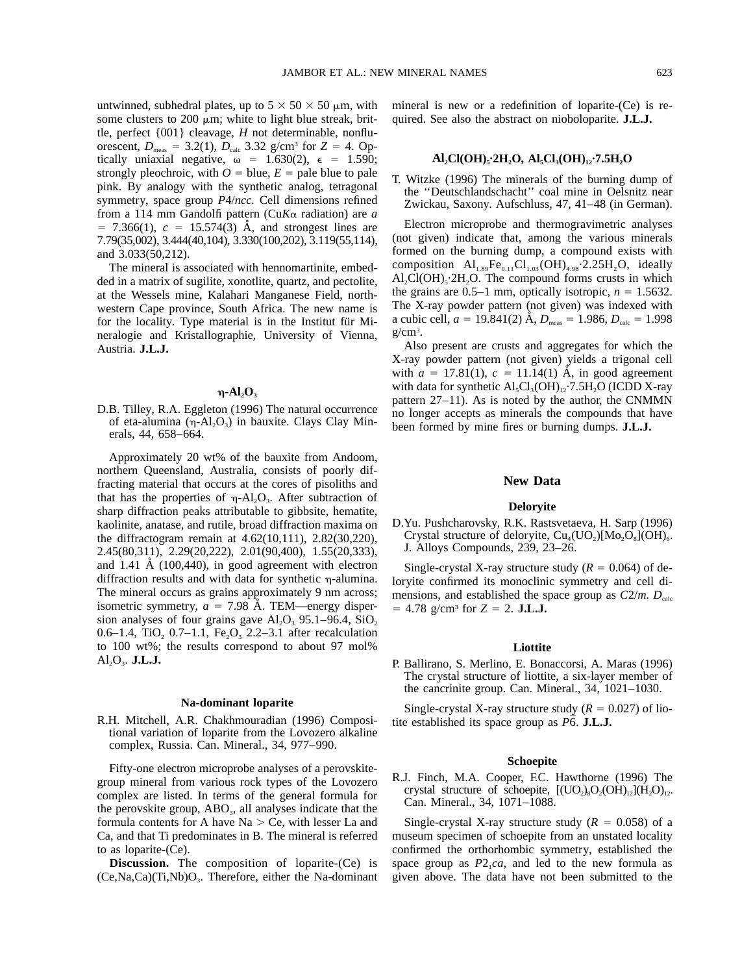untwinned, subhedral plates, up to  $5 \times 50 \times 50 \mu$ m, with some clusters to 200  $\mu$ m; white to light blue streak, brittle, perfect {001} cleavage, *H* not determinable, nonfluorescent,  $D_{\text{meas}} = 3.2(1)$ ,  $D_{\text{calc}} 3.32 \text{ g/cm}^3$  for  $Z = 4$ . Optically uniaxial negative,  $\omega = 1.630(2)$ ,  $\epsilon = 1.590$ ; strongly pleochroic, with  $O =$  blue,  $E =$  pale blue to pale pink. By analogy with the synthetic analog, tetragonal symmetry, space group *P*4/*ncc.* Cell dimensions refined from a 114 mm Gandolfi pattern (Cu*K*a radiation) are *a*  $= 7.366(1)$ ,  $c = 15.574(3)$  Å, and strongest lines are 7.79(35,002), 3.444(40,104), 3.330(100,202), 3.119(55,114), and 3.033(50,212).

The mineral is associated with hennomartinite, embedded in a matrix of sugilite, xonotlite, quartz, and pectolite, at the Wessels mine, Kalahari Manganese Field, northwestern Cape province, South Africa. The new name is for the locality. Type material is in the Institut für Mineralogie and Kristallographie, University of Vienna, Austria. **J.L.J.**

## $\eta$ -Al<sub>2</sub>O<sub>3</sub>

D.B. Tilley, R.A. Eggleton (1996) The natural occurrence of eta-alumina  $(\eta$ -Al<sub>2</sub>O<sub>3</sub>) in bauxite. Clays Clay Minerals, 44, 658–664.

Approximately 20 wt% of the bauxite from Andoom, northern Queensland, Australia, consists of poorly diffracting material that occurs at the cores of pisoliths and that has the properties of  $\eta$ -Al<sub>2</sub>O<sub>3</sub>. After subtraction of sharp diffraction peaks attributable to gibbsite, hematite, kaolinite, anatase, and rutile, broad diffraction maxima on the diffractogram remain at 4.62(10,111), 2.82(30,220), 2.45(80,311), 2.29(20,222), 2.01(90,400), 1.55(20,333), and 1.41  $\AA$  (100,440), in good agreement with electron diffraction results and with data for synthetic  $\eta$ -alumina. The mineral occurs as grains approximately 9 nm across; isometric symmetry,  $a = 7.98$  Å. TEM—energy dispersion analyses of four grains gave  $Al_2O_3$  95.1–96.4, SiO<sub>2</sub> 0.6–1.4, TiO<sub>2</sub> 0.7–1.1, Fe<sub>2</sub>O<sub>3</sub> 2.2–3.1 after recalculation to 100 wt%; the results correspond to about 97 mol%  $AI<sub>2</sub>O<sub>3</sub>$ . **J.L.J.** 

#### **Na-dominant loparite**

R.H. Mitchell, A.R. Chakhmouradian (1996) Compositional variation of loparite from the Lovozero alkaline complex, Russia. Can. Mineral., 34, 977–990.

Fifty-one electron microprobe analyses of a perovskitegroup mineral from various rock types of the Lovozero complex are listed. In terms of the general formula for the perovskite group,  $ABO<sub>3</sub>$ , all analyses indicate that the formula contents for A have  $Na > Ce$ , with lesser La and Ca, and that Ti predominates in B. The mineral is referred to as loparite-(Ce).

**Discussion.** The composition of loparite-(Ce) is  $(Ce, Na, Ca)(Ti, Nb)O<sub>3</sub>$ . Therefore, either the Na-dominant mineral is new or a redefinition of loparite-(Ce) is re-

quired. See also the abstract on nioboloparite. **J.L.J.**

#### Al<sub>2</sub>Cl(OH)<sub>5</sub>·2H<sub>2</sub>O, Al<sub>5</sub>Cl<sub>3</sub>(OH)<sub>12</sub>·7.5H<sub>2</sub>O

T. Witzke (1996) The minerals of the burning dump of the ''Deutschlandschacht'' coal mine in Oelsnitz near Zwickau, Saxony. Aufschluss, 47, 41–48 (in German).

Electron microprobe and thermogravimetric analyses (not given) indicate that, among the various minerals formed on the burning dump, a compound exists with composition  $\text{Al}_{1.89}\text{Fe}_{0.11}\text{Cl}_{1.03}(\text{OH})_{4.98}\text{·}2.25\text{H}_{2}\text{O}$ , ideally  $\text{Al}_2\text{Cl}(\text{OH})_5.2\text{H}_2\text{O}$ . The compound forms crusts in which the grains are  $0.5-1$  mm, optically isotropic,  $n = 1.5632$ . The X-ray powder pattern (not given) was indexed with a cubic cell,  $a = 19.841(2)$  Å,  $D_{\text{meas}} = 1.986, D_{\text{calc}} = 1.998$ g/cm3 .

Also present are crusts and aggregates for which the X-ray powder pattern (not given) yields a trigonal cell with  $a = 17.81(1)$ ,  $c = 11.14(1)$  Å, in good agreement with data for synthetic  $\text{Al}_5\text{Cl}_3(\text{OH})_{12}\cdot7.5\text{H}_2\text{O}$  (ICDD X-ray pattern 27–11). As is noted by the author, the CNMMN no longer accepts as minerals the compounds that have been formed by mine fires or burning dumps. **J.L.J.**

## **New Data**

## **Deloryite**

D.Yu. Pushcharovsky, R.K. Rastsvetaeva, H. Sarp (1996) Crystal structure of deloryite,  $Cu_4(uo_2)[Mo_2O_8](OH)_{6}$ . J. Alloys Compounds, 239, 23–26.

Single-crystal X-ray structure study  $(R = 0.064)$  of deloryite confirmed its monoclinic symmetry and cell dimensions, and established the space group as  $C2/m$ .  $D<sub>calc</sub>$  $= 4.78$  g/cm<sup>3</sup> for  $Z = 2$ . **J.L.J.** 

#### **Liottite**

P. Ballirano, S. Merlino, E. Bonaccorsi, A. Maras (1996) The crystal structure of liottite, a six-layer member of the cancrinite group. Can. Mineral., 34, 1021–1030.

Single-crystal X-ray structure study  $(R = 0.027)$  of liotite established its space group as  $\overline{P6}$ . **J.L.J.** 

#### **Schoepite**

R.J. Finch, M.A. Cooper, F.C. Hawthorne (1996) The crystal structure of schoepite,  $[(UO<sub>2</sub>)<sub>8</sub>O<sub>2</sub>(OH)<sub>12</sub>](H<sub>2</sub>O)<sub>12</sub>$ . Can. Mineral., 34, 1071–1088.

Single-crystal X-ray structure study  $(R = 0.058)$  of a museum specimen of schoepite from an unstated locality confirmed the orthorhombic symmetry, established the space group as  $P2_1ca$ , and led to the new formula as given above. The data have not been submitted to the